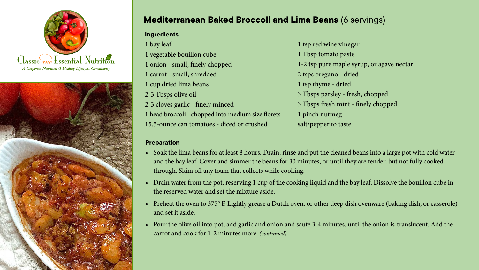



## **Mediterranean Baked Broccoli and Lima Beans** (6 servings)

| <b>Ingredients</b>                                 |                                           |
|----------------------------------------------------|-------------------------------------------|
| 1 bay leaf                                         | 1 tsp red wine vinegar                    |
| 1 vegetable bouillon cube                          | 1 Tbsp tomato paste                       |
| 1 onion - small, finely chopped                    | 1-2 tsp pure maple syrup, or agave nectar |
| 1 carrot - small, shredded                         | 2 tsps oregano - dried                    |
| 1 cup dried lima beans                             | 1 tsp thyme - dried                       |
| 2-3 Tbsps olive oil                                | 3 Tbsps parsley - fresh, chopped          |
| 2-3 cloves garlic - finely minced                  | 3 Tbsps fresh mint - finely chopped       |
| 1 head broccoli - chopped into medium size florets | 1 pinch nutmeg                            |
| 15.5-ounce can tomatoes - diced or crushed         | salt/pepper to taste                      |
|                                                    |                                           |

## **Preparation**

- Soak the lima beans for at least 8 hours. Drain, rinse and put the cleaned beans into a large pot with cold water and the bay leaf. Cover and simmer the beans for 30 minutes, or until they are tender, but not fully cooked through. Skim off any foam that collects while cooking.
- Drain water from the pot, reserving 1 cup of the cooking liquid and the bay leaf. Dissolve the bouillon cube in the reserved water and set the mixture aside.
- Preheat the oven to 375° F. Lightly grease a Dutch oven, or other deep dish ovenware (baking dish, or casserole) and set it aside.
- Pour the olive oil into pot, add garlic and onion and saute 3-4 minutes, until the onion is translucent. Add the carrot and cook for 1-2 minutes more. *(continued)*